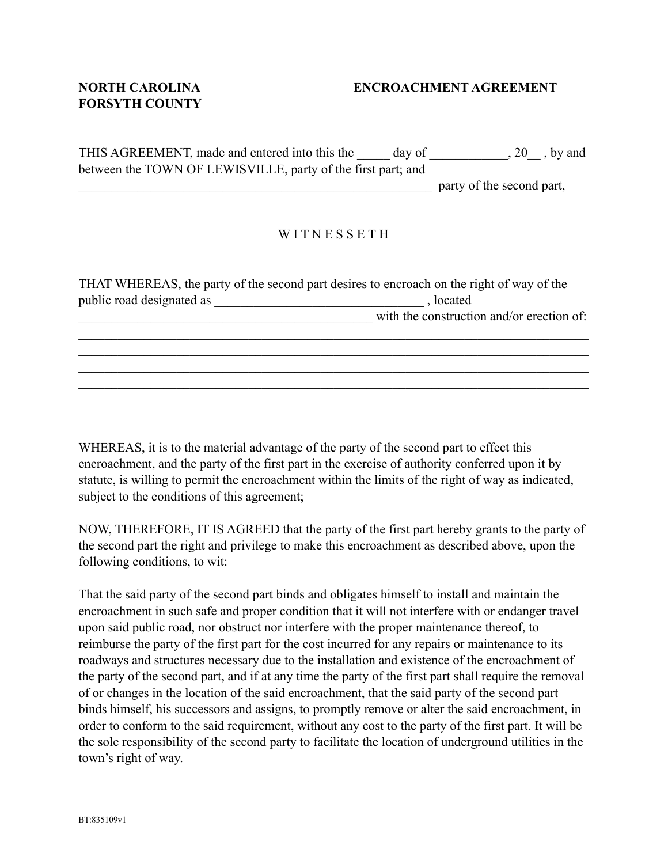## **FORSYTH COUNTY**

## **NORTH CAROLINA ENCROACHMENT AGREEMENT**

THIS AGREEMENT, made and entered into this the day of the case of the state of the state of the state of the state of the state of the state of the state of the state of the state of the state of the state of the state of between the TOWN OF LEWISVILLE, party of the first part; and

party of the second part,

## WITNESSETH

| THAT WHEREAS, the party of the second part desires to encroach on the right of way of the |                                           |
|-------------------------------------------------------------------------------------------|-------------------------------------------|
| public road designated as                                                                 | , located                                 |
|                                                                                           | with the construction and/or erection of: |
|                                                                                           |                                           |
|                                                                                           |                                           |

 $\mathcal{L}_\mathcal{L} = \mathcal{L}_\mathcal{L} = \mathcal{L}_\mathcal{L} = \mathcal{L}_\mathcal{L} = \mathcal{L}_\mathcal{L} = \mathcal{L}_\mathcal{L} = \mathcal{L}_\mathcal{L} = \mathcal{L}_\mathcal{L} = \mathcal{L}_\mathcal{L} = \mathcal{L}_\mathcal{L} = \mathcal{L}_\mathcal{L} = \mathcal{L}_\mathcal{L} = \mathcal{L}_\mathcal{L} = \mathcal{L}_\mathcal{L} = \mathcal{L}_\mathcal{L} = \mathcal{L}_\mathcal{L} = \mathcal{L}_\mathcal{L}$  $\mathcal{L}_\mathcal{L} = \{ \mathcal{L}_\mathcal{L} = \{ \mathcal{L}_\mathcal{L} = \{ \mathcal{L}_\mathcal{L} = \{ \mathcal{L}_\mathcal{L} = \{ \mathcal{L}_\mathcal{L} = \{ \mathcal{L}_\mathcal{L} = \{ \mathcal{L}_\mathcal{L} = \{ \mathcal{L}_\mathcal{L} = \{ \mathcal{L}_\mathcal{L} = \{ \mathcal{L}_\mathcal{L} = \{ \mathcal{L}_\mathcal{L} = \{ \mathcal{L}_\mathcal{L} = \{ \mathcal{L}_\mathcal{L} = \{ \mathcal{L}_\mathcal{$ 

WHEREAS, it is to the material advantage of the party of the second part to effect this encroachment, and the party of the first part in the exercise of authority conferred upon it by statute, is willing to permit the encroachment within the limits of the right of way as indicated, subject to the conditions of this agreement;

NOW, THEREFORE, IT IS AGREED that the party of the first part hereby grants to the party of the second part the right and privilege to make this encroachment as described above, upon the following conditions, to wit:

That the said party of the second part binds and obligates himself to install and maintain the encroachment in such safe and proper condition that it will not interfere with or endanger travel upon said public road, nor obstruct nor interfere with the proper maintenance thereof, to reimburse the party of the first part for the cost incurred for any repairs or maintenance to its roadways and structures necessary due to the installation and existence of the encroachment of the party of the second part, and if at any time the party of the first part shall require the removal of or changes in the location of the said encroachment, that the said party of the second part binds himself, his successors and assigns, to promptly remove or alter the said encroachment, in order to conform to the said requirement, without any cost to the party of the first part. It will be the sole responsibility of the second party to facilitate the location of underground utilities in the town's right of way.